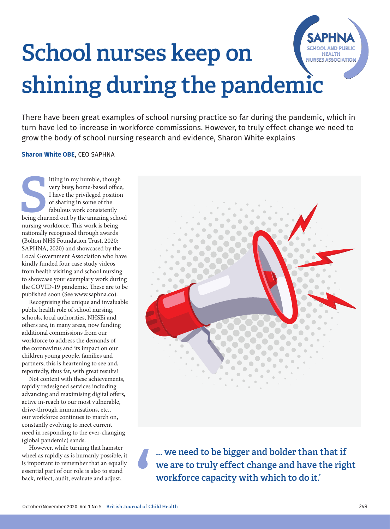## School nurses keep on **NURSES ASSOCIATION** shining during the pandemic

There have been great examples of school nursing practice so far during the pandemic, which in turn have led to increase in workforce commissions. However, to truly effect change we need to grow the body of school nursing research and evidence, Sharon White explains

## **Sharon White OBE**, CEO SAPHNA

Itting in my humble, though<br>
very busy, home-based office,<br>
I have the privileged position<br>
of sharing in some of the<br>
fabulous work consistently<br>
being churned out by the amazing school itting in my humble, though very busy, home-based office, I have the privileged position of sharing in some of the fabulous work consistently nursing workforce. This work is being nationally recognised through awards (Bolton NHS Foundation Trust, 2020; SAPHNA, 2020) and showcased by the Local Government Association who have kindly funded four case study videos from health visiting and school nursing to showcase your exemplary work during the COVID-19 pandemic. These are to be published soon (See www.saphna.co).

Recognising the unique and invaluable public health role of school nursing, schools, local authorities, NHSEi and others are, in many areas, now funding additional commissions from our workforce to address the demands of the coronavirus and its impact on our children young people, families and partners; this is heartening to see and, reportedly, thus far, with great results!

Not content with these achievements, rapidly redesigned services including advancing and maximising digital offers, active in-reach to our most vulnerable, drive-through immunisations, etc., our workforce continues to march on, constantly evolving to meet current need in responding to the ever-changing (global pandemic) sands.

However, while turning that hamster wheel as rapidly as is humanly possible, it is important to remember that an equally essential part of our role is also to stand back, reflect, audit, evaluate and adjust,



... we need to be bigger and bolder than that if we are to truly effect change and have the right workforce capacity with which to do it.'